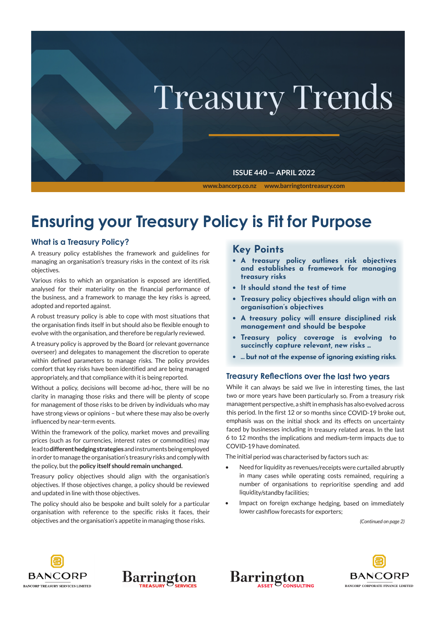

# **Ensuring your Treasury Policy is Fit for Purpose**

#### **What is a Treasury Policy?**

A treasury policy establishes the framework and guidelines for managing an organisation's treasury risks in the context of its risk objectives.

Various risks to which an organisation is exposed are identified, analysed for their materiality on the financial performance of the business, and a framework to manage the key risks is agreed, adopted and reported against.

A robust treasury policy is able to cope with most situations that the organisation finds itself in but should also be flexible enough to evolve with the organisation, and therefore be regularly reviewed.

A treasury policy is approved by the Board (or relevant governance overseer) and delegates to management the discretion to operate within defined parameters to manage risks. The policy provides comfort that key risks have been identified and are being managed appropriately, and that compliance with it is being reported.

Without a policy, decisions will become ad-hoc, there will be no clarity in managing those risks and there will be plenty of scope for management of those risks to be driven by individuals who may have strong views or opinions – but where these may also be overly influenced by near-term events.

Within the framework of the policy, market moves and prevailing prices (such as for currencies, interest rates or commodities) may lead to **different hedging strategies** and instruments being employed in order to manage the organisation's treasury risks and comply with the policy, but the **policy itself should remain unchanged.**

Treasury policy objectives should align with the organisation's objectives. If those objectives change, a policy should be reviewed and updated in line with those objectives.

The policy should also be bespoke and built solely for a particular organisation with reference to the specific risks it faces, their objectives and the organisation's appetite in managing those risks.

## **Key Points**

- **• A treasury policy outlines risk objectives and establishes a framework for managing treasury risks**
- **• It should stand the test of time**
- **• Treasury policy objectives should align with an organisation's objectives**
- **• A treasury policy will ensure disciplined risk management and should be bespoke**
- **• Treasury policy coverage is evolving to succinctly capture relevant, new risks ...**
- **• … but not atthe expense of ignoring existing risks.**

#### **Treasury Reflections over the last two years**

While it can always be said we live in interesting times, the last two or more years have been particularly so. From a treasury risk management perspective, a shift in emphasis has also evolved across this period. In the first 12 or so months since COVID-19 broke out, emphasis was on the initial shock and its effects on uncertainty faced by businesses including in treasury related areas. In the last 6 to 12 months the implications and medium-term impacts due to COVID-19 have dominated.

The initial period was characterised by factors such as:

- Need for liquidity as revenues/receipts were curtailed abruptly in many cases while operating costs remained, requiring a number of organisations to reprioritise spending and add liquidity/standby facilities;
- Impact on foreign exchange hedging, based on immediately lower cashflow forecasts for exporters;

*(Continued on page 2)*





Barrington **CONCLUTING**